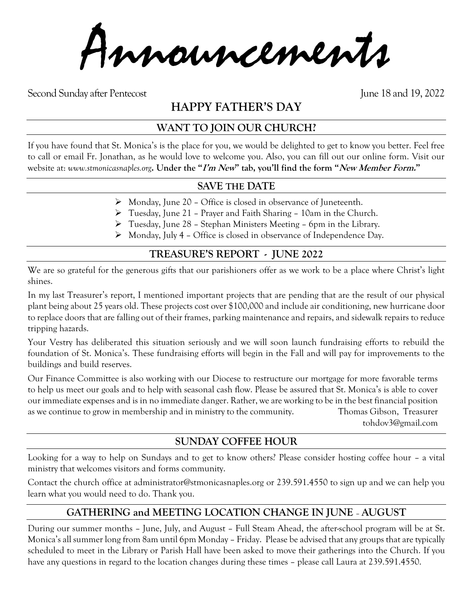Announcements

Second Sunday after Pentecost June 18 and 19, 2022

# **HAPPY FATHER'S DAY**

## **WANT TO JOIN OUR CHURCH?**

If you have found that St. Monica's is the place for you, we would be delighted to get to know you better. Feel free to call or email Fr. Jonathan, as he would love to welcome you. Also, you can fill out our online form. Visit our website at: *www.stmonicasnaples.org***. Under the "I'm New" tab, you'll find the form "New Member Form."**

#### **SAVE THE DATE**

- ➢ Monday, June 20 Office is closed in observance of Juneteenth.
- ➢ Tuesday, June 21 Prayer and Faith Sharing 10am in the Church.
- ➢ Tuesday, June 28 Stephan Ministers Meeting 6pm in the Library.
- ➢ Monday, July 4 Office is closed in observance of Independence Day.

## **TREASURE'S REPORT - JUNE 2022**

We are so grateful for the generous gifts that our parishioners offer as we work to be a place where Christ's light shines.

In my last Treasurer's report, I mentioned important projects that are pending that are the result of our physical plant being about 25 years old. These projects cost over \$100,000 and include air conditioning, new hurricane door to replace doors that are falling out of their frames, parking maintenance and repairs, and sidewalk repairs to reduce tripping hazards.

Your Vestry has deliberated this situation seriously and we will soon launch fundraising efforts to rebuild the foundation of St. Monica's. These fundraising efforts will begin in the Fall and will pay for improvements to the buildings and build reserves.

Our Finance Committee is also working with our Diocese to restructure our mortgage for more favorable terms to help us meet our goals and to help with seasonal cash flow. Please be assured that St. Monica's is able to cover our immediate expenses and is in no immediate danger. Rather, we are working to be in the best financial position as we continue to grow in membership and in ministry to the community. Thomas Gibson, Treasurer tohdov3@gmail.com

#### **SUNDAY COFFEE HOUR**

Looking for a way to help on Sundays and to get to know others? Please consider hosting coffee hour – a vital ministry that welcomes visitors and forms community.

Contact the church office at administrator@stmonicasnaples.org or 239.591.4550 to sign up and we can help you learn what you would need to do. Thank you.

# **GATHERING and MEETING LOCATION CHANGE IN JUNE** – **AUGUST**

During our summer months – June, July, and August – Full Steam Ahead, the after-school program will be at St. Monica's all summer long from 8am until 6pm Monday – Friday. Please be advised that any groups that are typically scheduled to meet in the Library or Parish Hall have been asked to move their gatherings into the Church. If you have any questions in regard to the location changes during these times – please call Laura at 239.591.4550.